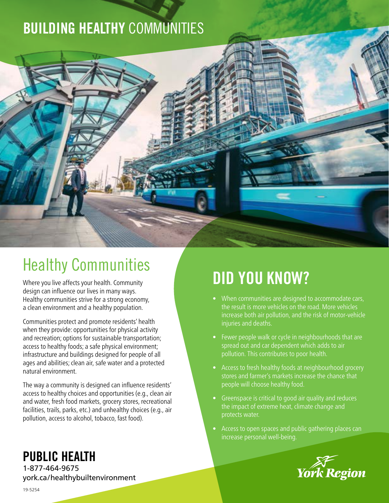## BUILDING HEALTHY COMMUNITIES



# Healthy Communities

Where you live affects your health. Community design can influence our lives in many ways. Healthy communities strive for a strong economy, a clean environment and a healthy population.

Communities protect and promote residents' health when they provide: opportunities for physical activity and recreation; options for sustainable transportation; access to healthy foods; a safe physical environment; infrastructure and buildings designed for people of all ages and abilities; clean air, safe water and a protected natural environment.

The way a community is designed can influence residents' access to healthy choices and opportunities (e.g., clean air and water, fresh food markets, grocery stores, recreational facilities, trails, parks, etc.) and unhealthy choices (e.g., air pollution, access to alcohol, tobacco, fast food).

# DID YOU KNOW?

- When communities are designed to accommodate cars, the result is more vehicles on the road. More vehicles increase both air pollution, and the risk of motor-vehicle injuries and deaths.
- Fewer people walk or cycle in neighbourhoods that are spread out and car dependent which adds to air pollution. This contributes to poor health.
- Access to fresh healthy foods at neighbourhood grocery stores and farmer's markets increase the chance that people will choose healthy food.
- Greenspace is critical to good air quality and reduces the impact of extreme heat, climate change and protects water.
- Access to open spaces and public gathering places can increase personal well-being.



### PUBLIC HEALTH

1-877-464-9675 york.ca/healthybuiltenvironment